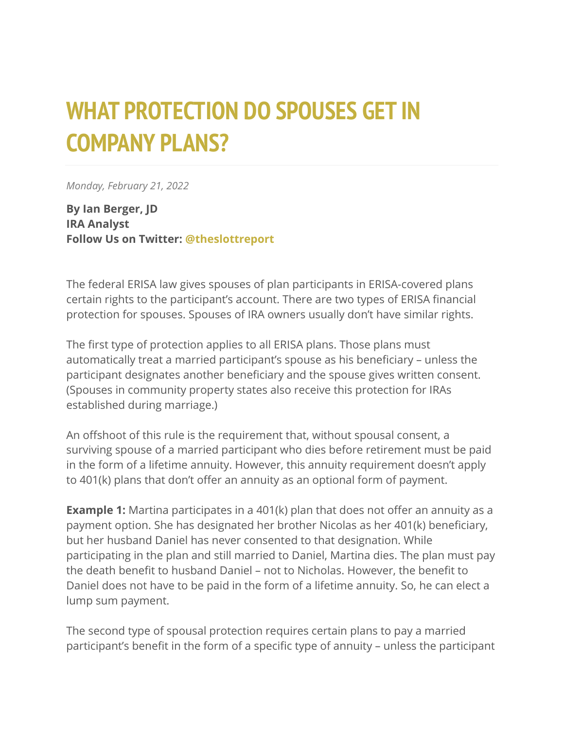## **WHAT PROTECTION DO SPOUSES GET IN COMPANY PLANS?**

*Monday, February 21, 2022*

**By Ian Berger, JD IRA Analyst Follow Us on Twitter: [@theslottreport](https://twitter.com/theslottreport)**

The federal ERISA law gives spouses of plan participants in ERISA-covered plans certain rights to the participant's account. There are two types of ERISA financial protection for spouses. Spouses of IRA owners usually don't have similar rights.

The first type of protection applies to all ERISA plans. Those plans must automatically treat a married participant's spouse as his beneficiary – unless the participant designates another beneficiary and the spouse gives written consent. (Spouses in community property states also receive this protection for IRAs established during marriage.)

An offshoot of this rule is the requirement that, without spousal consent, a surviving spouse of a married participant who dies before retirement must be paid in the form of a lifetime annuity. However, this annuity requirement doesn't apply to 401(k) plans that don't offer an annuity as an optional form of payment.

**Example 1:** Martina participates in a 401(k) plan that does not offer an annuity as a payment option. She has designated her brother Nicolas as her 401(k) beneficiary, but her husband Daniel has never consented to that designation. While participating in the plan and still married to Daniel, Martina dies. The plan must pay the death benefit to husband Daniel – not to Nicholas. However, the benefit to Daniel does not have to be paid in the form of a lifetime annuity. So, he can elect a lump sum payment.

The second type of spousal protection requires certain plans to pay a married participant's benefit in the form of a specific type of annuity – unless the participant